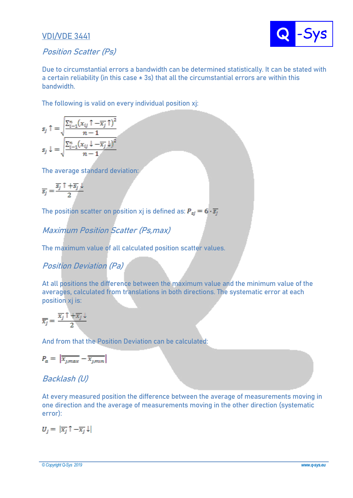#### **VDI/VDE 3441**



#### **Position Scatter (Ps)**

**Due to circumstantial errors a bandwidth can be determined statistically. It can be stated with a certain reliability (in this case ± 3s) that all the circumstantial errors are within this bandwidth.** 

**The following is valid on every individual position xj:**

$$
s_j \uparrow = \sqrt{\frac{\sum_{i=1}^{n} (x_{ij} \uparrow - \overline{x_j} \uparrow)^2}{n-1}}
$$

$$
s_j \downarrow = \sqrt{\frac{\sum_{i=1}^{n} (x_{ij} \downarrow - \overline{x_j} \downarrow)^2}{n-1}}
$$

**The average standard deviation:**

$$
\overline{s_j} = \frac{\overline{s_j} \uparrow + \overline{s_j} \downarrow}{2}
$$

The position scatter on position xj is defined as:  $P_{si} = 6 \cdot \overline{s_i}$ 

**Maximum Position Scatter (Ps,max)**

**The maximum value of all calculated position scatter values.**

## **Position Deviation (Pa)**

**At all positions the difference between the maximum value and the minimum value of the averages, calculated from translations in both directions. The systematic error at each position xj is:**

$$
\overline{\overline{x_j}} = \frac{\overline{x_j} \uparrow + \overline{x_j} \downarrow}{2}
$$

**And from that the Position Deviation can be calculated:**

$$
P_a = \left| \overline{x_{j,max}} - \overline{x_{j,min}} \right|
$$

## **Backlash (U)**

**At every measured position the difference between the average of measurements moving in one direction and the average of measurements moving in the other direction (systematic error):**

$$
U_j = |\overline{x_j} \uparrow - \overline{x_j} \downarrow|
$$